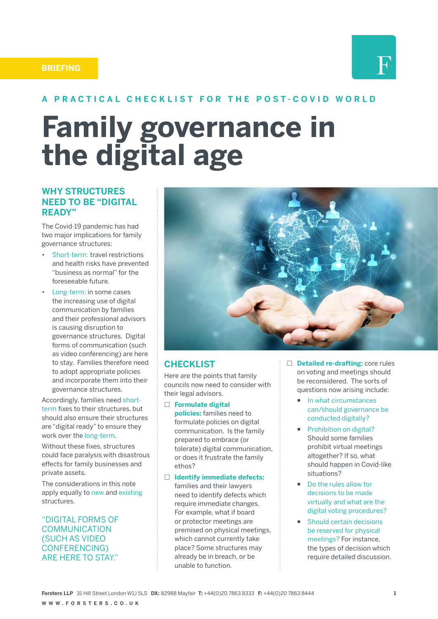#### **BRIEFING**



#### **A PRACTICAL CHECKLIST FOR THE POST-COVID WORLD**

# **Family governance in the digital age**

#### **WHY STRUCTURES NEED TO BE "DIGITAL READY"**

The Covid-19 pandemic has had two major implications for family governance structures:

- Short-term: travel restrictions and health risks have prevented "business as normal" for the foreseeable future.
- Long-term: in some cases the increasing use of digital communication by families and their professional advisors is causing disruption to governance structures. Digital forms of communication (such as video conferencing) are here to stay. Families therefore need to adopt appropriate policies and incorporate them into their governance structures.

Accordingly, families need shortterm fixes to their structures, but should also ensure their structures are "digital ready" to ensure they work over the long-term.

Without these fixes, structures could face paralysis with disastrous effects for family businesses and private assets.

The considerations in this note apply equally to new and existing structures.

"DIGITAL FORMS OF COMMUNICATION (SUCH AS VIDEO CONFERENCING) ARE HERE TO STAY."



#### **CHECKLIST**

Here are the points that family councils now need to consider with their legal advisors.

**Formulate digital** 

**policies:** families need to formulate policies on digital communication. Is the family prepared to embrace (or tolerate) digital communication, or does it frustrate the family ethos?

 **Identify immediate defects:**  families and their lawyers need to identify defects which require immediate changes. For example, what if board or protector meetings are premised on physical meetings, which cannot currently take place? Some structures may already be in breach, or be unable to function.

- **Detailed re-drafting:** core rules on voting and meetings should be reconsidered. The sorts of questions now arising include:
	- $\blacksquare$  In what circumstances can/should governance be conducted digitally?
	- **Prohibition on digital?** Should some families prohibit virtual meetings altogether? If so, what should happen in Covid-like situations?
	- Do the rules allow for decisions to be made virtually and what are the digital voting procedures?
	- Should certain decisions be reserved for physical meetings? For instance, the types of decision which require detailed discussion.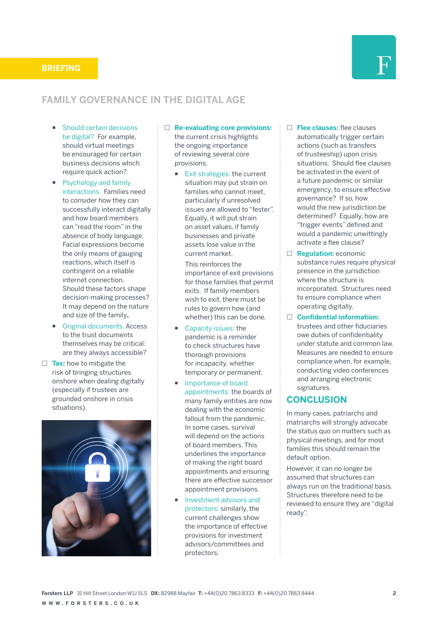

# **FAMILY GOVERNANCE IN THE DIGITAL AGE**

- Should certain decisions be digital? For example, should virtual meetings be encouraged for certain business decisions which require quick action?
- **Psychology and family** interactions. Families need to consider how they can successfully interact digitally and how board members can "read the room" in the absence of body language. Facial expressions become the only means of gauging reactions, which itself is contingent on a reliable internet connection. Should these factors shape decision-making processes? It may depend on the nature and size of the family**.**
- Original documents. Access to the trust documents themselves may be critical: are they always accessible?
- □ Tax: how to mitigate the risk of bringing structures onshore when dealing digitally (especially if trustees are grounded onshore in crisis situations).



- **Re-evaluating core provisions:**  the current crisis highlights the ongoing importance of reviewing several core provisions.
	- Exit strategies: the current situation may put strain on families who cannot meet, particularly if unresolved issues are allowed to "fester". Equally, it will put strain on asset values, if family businesses and private assets lose value in the current market.

This reinforces the importance of exit provisions for those families that permit exits. If family members wish to exit, there must be rules to govern how (and whether) this can be done.

- Capacity issues: the pandemic is a reminder to check structures have thorough provisions for incapacity, whether temporary or permanent.
- Importance of board appointments: the boards of many family entities are now dealing with the economic fallout from the pandemic. In some cases, survival will depend on the actions of board members. This underlines the importance of making the right board appointments and ensuring there are effective successor appointment provisions.
- Investment advisors and protectors: similarly, the current challenges show the importance of effective provisions for investment advisors/committees and protectors.
- **Flee clauses:** flee clauses automatically trigger certain actions (such as transfers of trusteeship) upon crisis situations. Should flee clauses be activated in the event of a future pandemic or similar emergency, to ensure effective governance? If so, how would the new jurisdiction be determined? Equally, how are "trigger events" defined and would a pandemic unwittingly activate a flee clause?
- **Regulation:** economic substance rules require physical presence in the jurisdiction where the structure is incorporated. Structures need to ensure compliance when operating digitally.

 **Confidential information:** trustees and other fiduciaries owe duties of confidentiality under statute and common law. Measures are needed to ensure compliance when, for example, conducting video conferences and arranging electronic signatures.

#### **CONCLUSION**

In many cases, patriarchs and matriarchs will strongly advocate the status quo on matters such as physical meetings, and for most families this should remain the default option.

However, it can no longer be assumed that structures can always run on the traditional basis. Structures therefore need to be reviewed to ensure they are "digital ready".